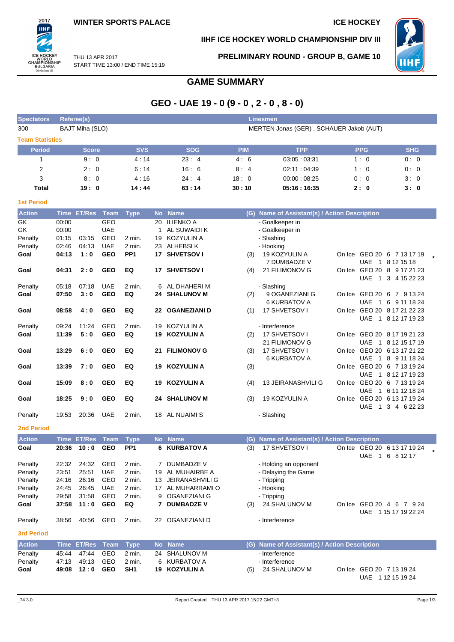

## **IIHF ICE HOCKEY WORLD CHAMPIONSHIP DIV III**

**PRELIMINARY ROUND - GROUP B, GAME 10**



THU 13 APR 2017 START TIME 13:00 / END TIME 15:19

# **GAME SUMMARY**

# **GEO - UAE 19 - 0 (9 - 0 , 2 - 0 , 8 - 0)**

| <b>Spectators</b>       |       | <b>Referee(s)</b>          |                           |                                |    |                         |            | <b>Linesmen</b>                                                |            |                                                    |
|-------------------------|-------|----------------------------|---------------------------|--------------------------------|----|-------------------------|------------|----------------------------------------------------------------|------------|----------------------------------------------------|
| 300                     |       | BAJT Miha (SLO)            |                           |                                |    |                         |            | MERTEN Jonas (GER), SCHAUER Jakob (AUT)                        |            |                                                    |
| <b>Team Statistics</b>  |       |                            |                           |                                |    |                         |            |                                                                |            |                                                    |
| <b>Period</b>           |       | <b>Score</b>               |                           | <b>SVS</b>                     |    | <b>SOG</b>              | <b>PIM</b> | <b>TPP</b>                                                     | <b>PPG</b> | <b>SHG</b>                                         |
| 1                       |       | 9:0                        |                           | 4:14                           |    | 23:4                    | 4:6        | 03:05:03:31                                                    | 1:0        | 0:0                                                |
| $\overline{\mathbf{c}}$ |       | 2:0                        |                           | 6:14                           |    | 16:6                    | 8:4        | 02:11:04:39                                                    | 1:0        | 0:0                                                |
| 3                       |       | 8:0                        |                           | 4:16                           |    | 24:4                    | 18:0       | 00:00:08:25                                                    | 0:0        | 3:0                                                |
| <b>Total</b>            |       | 19:0                       |                           | 14:44                          |    | 63:14                   | 30:10      | 05:16:16:35                                                    | 2:0        | 3:0                                                |
| <b>1st Period</b>       |       |                            |                           |                                |    |                         |            |                                                                |            |                                                    |
| <b>Action</b>           |       | Time ET/Res Team           |                           | <b>Type</b>                    |    | No Name                 |            | (G) Name of Assistant(s) / Action Description                  |            |                                                    |
| GK                      | 00:00 |                            | GEO                       |                                | 20 | <b>ILIENKO A</b>        |            | - Goalkeeper in                                                |            |                                                    |
| GK                      | 00:00 |                            | <b>UAE</b>                |                                | 1  | AL SUWAIDI K            |            | - Goalkeeper in                                                |            |                                                    |
| Penalty                 | 01:15 | 03:15                      | GEO                       | 2 min.                         | 19 | KOZYULIN A              |            | - Slashing                                                     |            |                                                    |
| Penalty                 | 02:46 | 04:13                      | <b>UAE</b>                | 2 min.                         | 23 | ALHEBSI K               |            | - Hooking                                                      |            |                                                    |
| Goal                    | 04:13 | 1:0                        | <b>GEO</b>                | PP <sub>1</sub>                | 17 | <b>SHVETSOV I</b>       | (3)        | 19 KOZYULIN A                                                  |            | On Ice GEO 20 6 7 13 17 19                         |
|                         |       |                            |                           |                                |    |                         |            | 7 DUMBADZE V                                                   |            | UAE 1 8 12 15 18                                   |
| Goal                    | 04:31 | 2:0                        | <b>GEO</b>                | EQ                             |    | 17 SHVETSOV I           | (4)        | 21 FILIMONOV G                                                 |            | On Ice GEO 20 8 9 17 21 23                         |
|                         |       |                            |                           |                                |    |                         |            |                                                                |            | UAE 1 3 4 15 22 23                                 |
| Penalty                 | 05:18 | 07:18                      | <b>UAE</b>                | 2 min.                         | 6  | AL DHAHERI M            |            | - Slashing                                                     |            |                                                    |
| Goal                    | 07:50 | 3:0                        | <b>GEO</b>                | EQ                             |    | <b>24 SHALUNOV M</b>    | (2)        | 9 OGANEZIANI G                                                 |            | On Ice GEO 20 6 7 9 13 24                          |
|                         |       |                            |                           |                                |    |                         |            | <b>6 KURBATOV A</b>                                            |            | UAE 1 6 9 11 18 24                                 |
| Goal                    | 08:58 | 4:0                        | <b>GEO</b>                | EQ                             |    | 22 OGANEZIANI D         | (1)        | 17 SHVETSOV I                                                  |            | On Ice GEO 20 8 17 21 22 23<br>UAE 1 8 12 17 19 23 |
| Penalty                 | 09:24 | 11:24                      | GEO                       | 2 min.                         | 19 | <b>KOZYULIN A</b>       |            | - Interference                                                 |            |                                                    |
| Goal                    | 11:39 | 5:0                        | <b>GEO</b>                | EQ                             | 19 | <b>KOZYULIN A</b>       | (2)        | 17 SHVETSOV I                                                  |            | On Ice GEO 20 8 17 19 21 23                        |
|                         |       |                            |                           |                                |    |                         |            | 21 FILIMONOV G                                                 |            | UAE 1 8 12 15 17 19                                |
| Goal                    | 13:29 | 6:0                        | <b>GEO</b>                | EQ                             | 21 | <b>FILIMONOV G</b>      | (3)        | 17 SHVETSOV I                                                  |            | On Ice GEO 20 6 13 17 21 22                        |
|                         |       |                            |                           |                                |    |                         |            | <b>6 KURBATOV A</b>                                            |            | UAE 1 8 9 11 18 24                                 |
| Goal                    | 13:39 | 7:0                        | <b>GEO</b>                | EQ                             |    | 19 KOZYULIN A           | (3)        |                                                                |            | On Ice GEO 20 6 7 13 19 24                         |
|                         |       |                            |                           |                                |    |                         |            |                                                                |            | UAE 1 8 12 17 19 23                                |
| Goal                    | 15:09 | 8:0                        | <b>GEO</b>                | EQ                             |    | 19 KOZYULIN A           | (4)        | <b>13 JEIRANASHVILI G</b>                                      |            | On Ice GEO 20 6 7 13 19 24                         |
|                         |       |                            |                           |                                |    |                         |            |                                                                |            | UAE 1 6 11 12 18 24                                |
| Goal                    | 18:25 | 9:0                        | <b>GEO</b>                | EQ                             |    | <b>24 SHALUNOV M</b>    | (3)        | 19 KOZYULIN A                                                  |            | On Ice GEO 20 6 13 17 19 24                        |
| Penalty                 | 19:53 | 20:36                      | <b>UAE</b>                | 2 min.                         |    | 18 AL NUAIMI S          |            | - Slashing                                                     |            | UAE 1 3 4 6 22 23                                  |
|                         |       |                            |                           |                                |    |                         |            |                                                                |            |                                                    |
| <b>2nd Period</b>       |       |                            |                           |                                |    |                         |            |                                                                |            |                                                    |
| <b>Action</b><br>Goal   | 20:36 | <b>Time ET/Res</b><br>10:0 | <b>Team</b><br><b>GEO</b> | <b>Type</b><br>PP <sub>1</sub> |    | No Name<br>6 KURBATOV A |            | (G) Name of Assistant(s) / Action Description<br>17 SHVETSOV I |            | On Ice GEO 20 6 13 17 19 24                        |
|                         |       |                            |                           |                                |    |                         | (3)        |                                                                |            | UAE 1 6 8 12 17                                    |
| Penalty                 | 22:32 | 24:32                      | GEO                       | 2 min.                         |    | 7 DUMBADZE V            |            | - Holding an opponent                                          |            |                                                    |
| Penalty                 | 23:51 | 25:51                      | <b>UAE</b>                | 2 min.                         | 19 | AL MUHAIRBE A           |            | - Delaying the Game                                            |            |                                                    |
| Penalty                 | 24:16 | 26:16                      | GEO                       | 2 min.                         | 13 | <b>JEIRANASHVILI G</b>  |            | - Tripping                                                     |            |                                                    |
| Penalty                 | 24:45 | 26:45                      | UAE                       | 2 min.                         | 17 | AL MUHARRAMI O          |            | - Hooking                                                      |            |                                                    |
| Penalty                 | 29:58 | 31:58                      | GEO                       | 2 min.                         | 9  | OGANEZIANI G            |            | - Tripping                                                     |            |                                                    |
| Goal                    | 37:58 | 11:0                       | <b>GEO</b>                | EQ                             |    | 7 DUMBADZE V            | (3)        | 24 SHALUNOV M                                                  |            | On Ice GEO 20 4 6 7 9 24                           |
|                         |       |                            |                           |                                |    |                         |            |                                                                |            | UAE 1 15 17 19 22 24                               |
| Penalty                 | 38:56 | 40:56                      | GEO                       | 2 min.                         |    | 22 OGANEZIANI D         |            | - Interference                                                 |            |                                                    |
| <b>3rd Period</b>       |       |                            |                           |                                |    |                         |            |                                                                |            |                                                    |
| <b>Action</b>           |       | Time ET/Res                | <b>Team</b>               | <b>Type</b>                    |    | No Name                 |            | (G) Name of Assistant(s) / Action Description                  |            |                                                    |
| Penalty                 | 45:44 | 47:44                      | GEO                       | 2 min.                         |    | 24 SHALUNOV M           |            | - Interference                                                 |            |                                                    |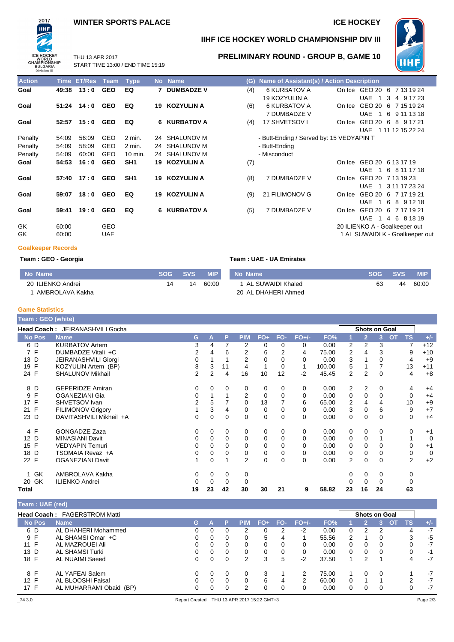### **WINTER SPORTS PALACE ICE HOCKEY**

START TIME 13:00 / END TIME 15:19

THU 13 APR 2017



### **IIHF ICE HOCKEY WORLD CHAMPIONSHIP DIV III**



**PRELIMINARY ROUND - GROUP B, GAME 10**

| <b>Action</b> | <b>Time</b> | <b>ET/Res</b> | Team       | <b>Type</b>        |    | No Name           | (G) | Name of Assistant(s) / Action Description |                                                 |
|---------------|-------------|---------------|------------|--------------------|----|-------------------|-----|-------------------------------------------|-------------------------------------------------|
| Goal          | 49:38       | 13:0          | <b>GEO</b> | EQ                 |    | 7 DUMBADZE V      | (4) | 6 KURBATOV A                              | On Ice GEO 20 6 7 13 19 24                      |
|               |             |               |            |                    |    |                   |     | 19 KOZYULIN A                             | <b>UAE</b><br>3<br>$\overline{1}$<br>4 9 17 23  |
| Goal          | 51:24       | 14:0          | <b>GEO</b> | EQ                 | 19 | <b>KOZYULIN A</b> | (6) | 6 KURBATOV A                              | GEO 20<br>-6<br>7 15 19 24<br>On Ice            |
|               |             |               |            |                    |    |                   |     | 7 DUMBADZE V                              | <b>UAE</b><br>6<br>$\overline{1}$<br>9 11 13 18 |
| Goal          | 52:57       | 15:0          | <b>GEO</b> | EQ                 |    | 6 KURBATOV A      | (4) | 17 SHVETSOV I                             | GEO 20<br>8 9 1 7 2 1<br>On Ice<br>6            |
|               |             |               |            |                    |    |                   |     |                                           | UAE 1 11 12 15 22 24                            |
| Penalty       | 54:09       | 56:09         | <b>GEO</b> | $2$ min.           | 24 | SHALUNOV M        |     | - Butt-Ending / Served by: 15 VEDYAPIN T  |                                                 |
| Penalty       | 54:09       | 58:09         | <b>GEO</b> | $2$ min.           | 24 | <b>SHALUNOV M</b> |     | - Butt-Ending                             |                                                 |
| Penalty       | 54:09       | 60:00         | <b>GEO</b> | $10 \text{ min}$ . | 24 | <b>SHALUNOV M</b> |     | - Misconduct                              |                                                 |
| Goal          | 54:53       | 16:0          | <b>GEO</b> | SH <sub>1</sub>    | 19 | <b>KOZYULIN A</b> | (7) |                                           | On Ice GEO 20 6 13 17 19                        |
|               |             |               |            |                    |    |                   |     |                                           | UAE 1<br>6 8 11 17 18                           |
| Goal          | 57:40       | 17:0          | <b>GEO</b> | SH <sub>1</sub>    | 19 | <b>KOZYULIN A</b> | (8) | 7 DUMBADZE V                              | GEO 20 7 13 19 23<br>On Ice                     |
|               |             |               |            |                    |    |                   |     |                                           | <b>UAE</b><br>3 11 17 23 24<br>$\overline{1}$   |
| Goal          | 59:07       | 18:0          | <b>GEO</b> | EQ                 | 19 | <b>KOZYULIN A</b> | (9) | 21 FILIMONOV G                            | GEO 20 6 7 17 19 21<br>On Ice                   |
|               |             |               |            |                    |    |                   |     |                                           | UAE<br>$\overline{1}$<br>6<br>8 9 1 2 1 8       |
| Goal          | 59:41       | 19:0          | <b>GEO</b> | EQ                 |    | 6 KURBATOV A      | (5) | 7 DUMBADZE V                              | GEO 20 6<br>7 17 19 21<br>On Ice                |
|               |             |               |            |                    |    |                   |     |                                           | <b>UAE</b><br>6 8 18 19<br>$\overline{1}$<br>4  |
| GK.           | 60:00       |               | <b>GEO</b> |                    |    |                   |     |                                           | 20 ILIENKO A - Goalkeeper out                   |
| GK            | 60:00       |               | <b>UAE</b> |                    |    |                   |     |                                           | 1 AL SUWAIDI K - Goalkeeper out                 |
|               |             |               |            |                    |    |                   |     |                                           |                                                 |

| (4) | 6 KURBATOV A                             | On Ice GEO 20 6 7 13 19 24      |
|-----|------------------------------------------|---------------------------------|
|     | <b>19 KOZYULIN A</b>                     | UAE 1 3 4 9 17 23               |
| (6) | <b>6 KURBATOV A</b>                      | On Ice GEO 20 6 7 15 19 24      |
|     | 7 DUMBADZE V                             | UAE 1 6 9 11 13 18              |
| (4) | 17 SHVETSOV I                            | On Ice GEO 20 6 8 9 17 21       |
|     |                                          | UAE 1 11 12 15 22 24            |
|     | - Butt-Ending / Served by: 15 VEDYAPIN T |                                 |
|     | - Butt-Ending                            |                                 |
|     | - Misconduct                             |                                 |
| (7) |                                          | On Ice GEO 20 6 13 17 19        |
|     |                                          | UAE 1 6 8 11 17 18              |
| (8) | 7 DUMBADZE V                             | On Ice GEO 20 7 13 19 23        |
|     |                                          | UAE 1 3 11 17 23 24             |
| (9) | 21 FILIMONOV G                           | On Ice GEO 20 6 7 17 19 21      |
|     |                                          | UAE.<br>1 6 8 9 12 18           |
| (5) | 7 DUMBADZE V                             | On Ice GEO 20 6 7 17 19 21      |
|     |                                          | UAE<br>1 4 6 8 18 19            |
|     |                                          | 20 ILIENKO A - Goalkeeper out   |
|     |                                          | 1 AL SUWAIDI K - Goalkeeper out |
|     |                                          |                                 |

#### **Goalkeeper Records**

**Team : GEO - Georgia Team : UAE - UA Emirates** 

|  |  | Team : UAE - UA Emirates |  |
|--|--|--------------------------|--|
|  |  |                          |  |

| No Name           | <b>SOG</b> | SVS. | <b>MIP</b> | No Name             | <b>SOG</b> | <b>SVS</b> | <b>MIP</b> |
|-------------------|------------|------|------------|---------------------|------------|------------|------------|
| 20 ILIENKO Andrei |            | 14   | 60:00      | 1 AL SUWAIDI Khaled |            | 44         | 60:00      |
| AMBROLAVA Kakha   |            |      |            | 20 AL DHAHERI Ahmed |            |            |            |

#### **Game Statistics**

ı

| Team : GEO (white) |                                        |                |    |             |                |          |          |         |        |                |                      |    |                        |             |
|--------------------|----------------------------------------|----------------|----|-------------|----------------|----------|----------|---------|--------|----------------|----------------------|----|------------------------|-------------|
|                    | <b>Head Coach: JEIRANASHVILI Gocha</b> |                |    |             |                |          |          |         |        |                | <b>Shots on Goal</b> |    |                        |             |
| <b>No Pos</b>      | <b>Name</b>                            | G              | A  | P           | <b>PIM</b>     | $FO+$    | FO-      | $FO+/-$ | FO%    |                | $\overline{2}$       | 3  | <b>TS</b><br><b>OT</b> | $+/-$       |
| 6 D                | <b>KURBATOV Artem</b>                  | 3              | 4  | 7           | 2              | 0        | $\Omega$ | 0       | 0.00   | 2              | 2                    | 3  | 7                      | $+12$       |
| 7 F                | DUMBADZE Vitali +C                     | 2              | 4  | 6           | 2              | 6        | 2        | 4       | 75.00  | 2              | 4                    | 3  | 9                      | $+10$       |
| D<br>13            | JEIRANASHVILI Giorgi                   | 0              |    |             | 2              | $\Omega$ |          | 0       | 0.00   | 3              |                      |    | 4                      | $+9$        |
| 19 F               | KOZYULIN Artem (BP)                    | 8              | 3  | 11          | 4              | 1        | 0        | 1       | 100.00 | 5              |                      |    | 13                     | $+11$       |
| 24 F               | <b>SHALUNOV Mikhail</b>                | $\overline{2}$ | 2  | 4           | 16             | 10       | 12       | $-2$    | 45.45  | 2              | $\overline{2}$       | 0  | 4                      | $+8$        |
| 8 D                | <b>GEPERIDZE Amiran</b>                | 0              | 0  | 0           | 0              | 0        | 0        | 0       | 0.00   | 2              | 2                    | 0  | 4                      | $+4$        |
| F<br>9             | OGANEZIANI Gia                         | 0              |    |             | $\overline{2}$ | 0        | $\Omega$ | 0       | 0.00   | 0              | $\mathbf 0$          | 0  | 0                      | $+4$        |
| 17 F               | SHVETSOV Ivan                          | $\overline{2}$ | 5  |             | 0              | 13       |          | 6       | 65.00  | 2              | 4                    | 4  | 10                     | $+9$        |
| 21 F               | <b>FILIMONOV Grigory</b>               |                | 3  | 4           | 0              | 0        | 0        | 0       | 0.00   | 3              | $\mathbf 0$          | 6  | 9                      | $+7$        |
| 23 D               | DAVITASHVILI Mikheil +A                | 0              | 0  | 0           | 0              | 0        | 0        | 0       | 0.00   | 0              | $\mathbf 0$          | 0  | 0                      | $+4$        |
| 4 F                | <b>GONGADZE Zaza</b>                   | 0              | 0  | 0           | 0              | 0        | 0        | 0       | 0.00   | 0              | 0                    | 0  | 0                      | $+1$        |
| 12 D               | <b>MINASIANI Davit</b>                 | 0              | 0  | $\mathbf 0$ | 0              | 0        | 0        | 0       | 0.00   | 0              | $\mathbf 0$          |    |                        | $\mathbf 0$ |
| 15 F               | <b>VEDYAPIN Temuri</b>                 | 0              | 0  | 0           | 0              | 0        | 0        | 0       | 0.00   | 0              | $\mathbf 0$          | 0  | 0                      | $+1$        |
| D<br>18            | TSOMAIA Revaz +A                       | 0              | 0  | 0           | 0              | 0        | 0        | 0       | 0.00   | 0              | 0                    | 0  | 0                      | $\mathbf 0$ |
| 22 F               | <b>OGANEZIANI Davit</b>                |                | 0  |             | $\overline{2}$ | 0        | 0        | 0       | 0.00   | $\overline{2}$ | $\mathbf 0$          | 0  | 2                      | $+2$        |
| 1 GK               | AMBROLAVA Kakha                        | 0              | 0  | 0           | 0              |          |          |         |        | 0              | 0                    | 0  | 0                      |             |
| 20 GK              | <b>ILIENKO Andrei</b>                  | 0              | 0  | 0           | 0              |          |          |         |        | 0              | 0                    | 0  | 0                      |             |
| Total              |                                        | 19             | 23 | 42          | 30             | 30       | 21       | 9       | 58.82  | 23             | 16                   | 24 | 63                     |             |

| <b>Feam : UAE (red)</b> |                                     |    |          |          |            |        |     |         |       |          |          |                      |           |       |
|-------------------------|-------------------------------------|----|----------|----------|------------|--------|-----|---------|-------|----------|----------|----------------------|-----------|-------|
|                         | <b>Head Coach: FAGERSTROM Matti</b> |    |          |          |            |        |     |         |       |          |          | <b>Shots on Goal</b> |           |       |
| <b>No Pos</b>           | <b>Name</b>                         | G. |          | P        | <b>PIM</b> | $FO+7$ | FO- | $FO+/-$ | FO%   |          | $2^+$    | רס                   | <b>TS</b> | $+/-$ |
| 6 D                     | AL DHAHERI Mohammed                 | 0  | 0        | 0        | 2          |        | 2   | $-2$    | 0.00  | 0        | 2        | 2                    | 4         | -7    |
| 9 F                     | AL SHAMSI Omar +C                   | 0  | 0        | 0        |            | 5      | 4   |         | 55.56 | 2        |          |                      | 3         | -5    |
| 11 F                    | AL MAZROUEI Ali                     | 0  | $\Omega$ | $\Omega$ | 0          | 0      | 0   | 0       | 0.00  | 0        | $\Omega$ | $\Omega$             | 0         | -7    |
| 13 D                    | AL SHAMSI Turki                     | 0  | $\Omega$ | $\Omega$ | 0          | 0      | 0   | 0       | 0.00  | 0        | $\Omega$ | $\Omega$             | 0         | -1    |
| 18 F                    | AL NUAIMI Saeed                     | 0  | $\Omega$ | 0        | 2          | 3      | 5   | $-2$    | 37.50 | 1        | っ        |                      | 4         | -7    |
| 8 F                     | AL YAFEAI Salem                     | 0  | $\Omega$ | $\Omega$ |            | 3      |     | 2       | 75.00 |          | $\Omega$ | $\Omega$             |           | -7    |
| 12 F                    | AL BLOOSHI Faisal                   | 0  | $\Omega$ | 0        |            | 6      | 4   | 2       | 60.00 | $\Omega$ |          |                      | 2         | -7    |
| 17 F                    | AL MUHARRAMI Obaid (BP)             | 0  | 0        | 0        | 2          | 0      |     | 0       | 0.00  | 0        | 0        | 0                    | $\Omega$  | -7    |